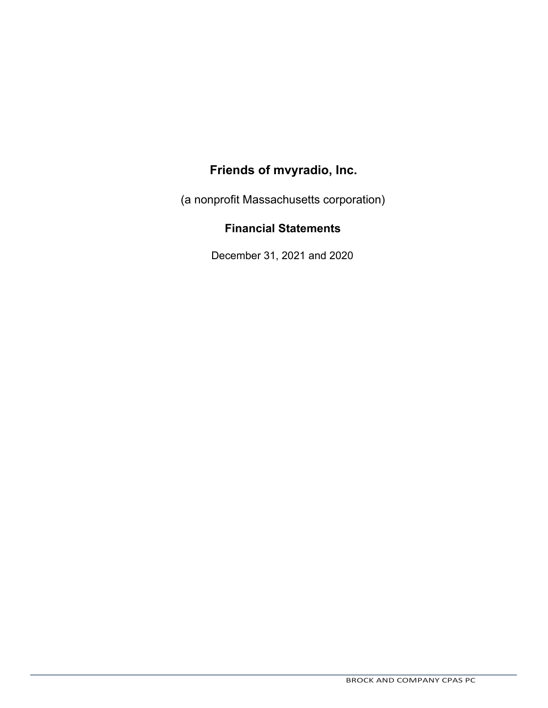(a nonprofit Massachusetts corporation)

## **Financial Statements**

December 31, 2021 and 2020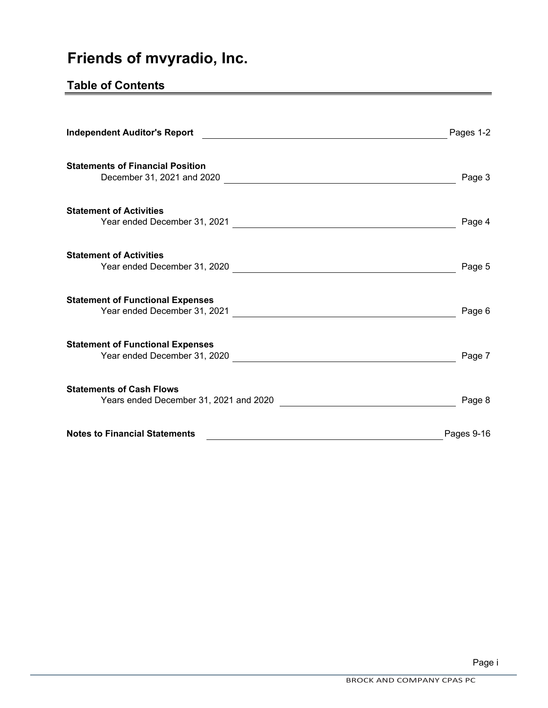## **Table of Contents**

| <b>Independent Auditor's Report</b>                                       | Pages 1-2  |
|---------------------------------------------------------------------------|------------|
| <b>Statements of Financial Position</b><br>December 31, 2021 and 2020     | Page 3     |
| <b>Statement of Activities</b><br>Year ended December 31, 2021            | Page 4     |
| <b>Statement of Activities</b><br>Year ended December 31, 2020            | Page 5     |
| <b>Statement of Functional Expenses</b><br>Year ended December 31, 2021   | Page 6     |
| <b>Statement of Functional Expenses</b><br>Year ended December 31, 2020   | Page 7     |
| <b>Statements of Cash Flows</b><br>Years ended December 31, 2021 and 2020 | Page 8     |
| <b>Notes to Financial Statements</b>                                      | Pages 9-16 |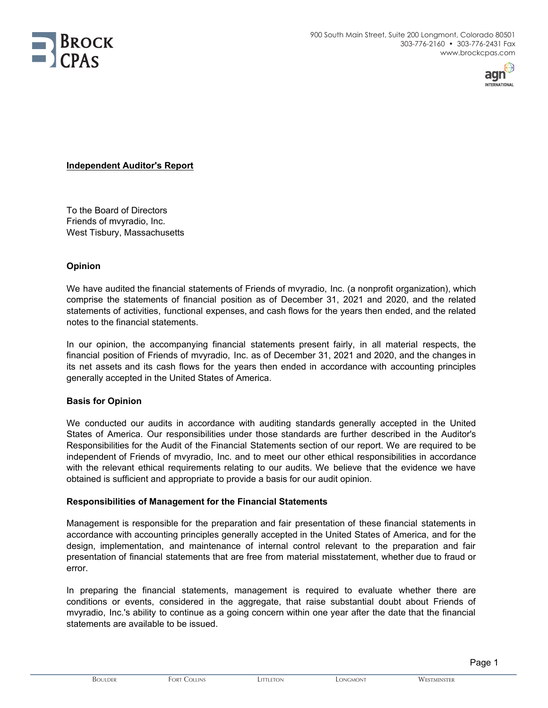



### **Independent Auditor's Report**

To the Board of Directors Friends of mvyradio, Inc. West Tisbury, Massachusetts

### **Opinion**

We have audited the financial statements of Friends of mvyradio, Inc. (a nonprofit organization), which comprise the statements of financial position as of December 31, 2021 and 2020, and the related statements of activities, functional expenses, and cash flows for the years then ended, and the related notes to the financial statements.

In our opinion, the accompanying financial statements present fairly, in all material respects, the financial position of Friends of mvyradio, Inc. as of December 31, 2021 and 2020, and the changes in its net assets and its cash flows for the years then ended in accordance with accounting principles generally accepted in the United States of America.

#### **Basis for Opinion**

We conducted our audits in accordance with auditing standards generally accepted in the United States of America. Our responsibilities under those standards are further described in the Auditor's Responsibilities for the Audit of the Financial Statements section of our report. We are required to be independent of Friends of mvyradio, Inc. and to meet our other ethical responsibilities in accordance with the relevant ethical requirements relating to our audits. We believe that the evidence we have obtained is sufficient and appropriate to provide a basis for our audit opinion.

#### **Responsibilities of Management for the Financial Statements**

Management is responsible for the preparation and fair presentation of these financial statements in accordance with accounting principles generally accepted in the United States of America, and for the design, implementation, and maintenance of internal control relevant to the preparation and fair presentation of financial statements that are free from material misstatement, whether due to fraud or error.

In preparing the financial statements, management is required to evaluate whether there are conditions or events, considered in the aggregate, that raise substantial doubt about Friends of mvyradio, Inc.'s ability to continue as a going concern within one year after the date that the financial statements are available to be issued.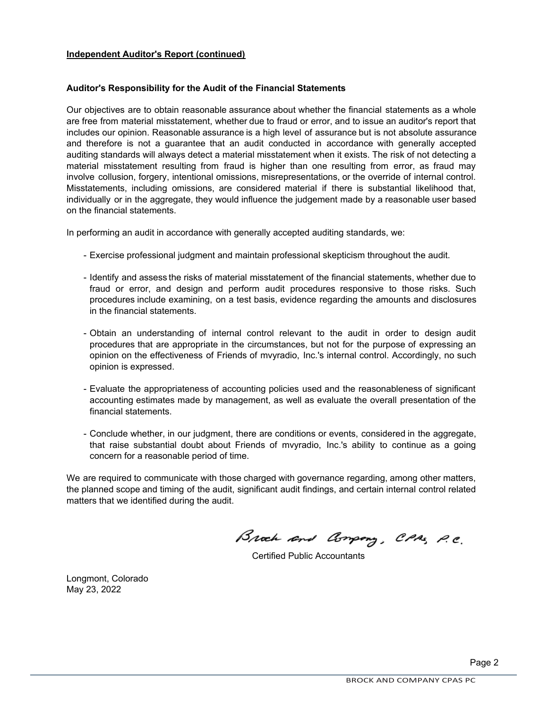### **Independent Auditor's Report (continued)**

#### **Auditor's Responsibility for the Audit of the Financial Statements**

Our objectives are to obtain reasonable assurance about whether the financial statements as a whole are free from material misstatement, whether due to fraud or error, and to issue an auditor's report that includes our opinion. Reasonable assurance is a high level of assurance but is not absolute assurance and therefore is not a guarantee that an audit conducted in accordance with generally accepted auditing standards will always detect a material misstatement when it exists. The risk of not detecting a material misstatement resulting from fraud is higher than one resulting from error, as fraud may involve collusion, forgery, intentional omissions, misrepresentations, or the override of internal control. Misstatements, including omissions, are considered material if there is substantial likelihood that, individually or in the aggregate, they would influence the judgement made by a reasonable user based on the financial statements.

In performing an audit in accordance with generally accepted auditing standards, we:

- Exercise professional judgment and maintain professional skepticism throughout the audit.
- Identify and assess the risks of material misstatement of the financial statements, whether due to fraud or error, and design and perform audit procedures responsive to those risks. Such procedures include examining, on a test basis, evidence regarding the amounts and disclosures in the financial statements.
- Obtain an understanding of internal control relevant to the audit in order to design audit procedures that are appropriate in the circumstances, but not for the purpose of expressing an opinion on the effectiveness of Friends of mvyradio, Inc.'s internal control. Accordingly, no such opinion is expressed.
- Evaluate the appropriateness of accounting policies used and the reasonableness of significant accounting estimates made by management, as well as evaluate the overall presentation of the financial statements.
- Conclude whether, in our judgment, there are conditions or events, considered in the aggregate, that raise substantial doubt about Friends of mvyradio, Inc.'s ability to continue as a going concern for a reasonable period of time.

We are required to communicate with those charged with governance regarding, among other matters, the planned scope and timing of the audit, significant audit findings, and certain internal control related matters that we identified during the audit.

Broch and Company, CPAS, P.C.

Certified Public Accountants

Longmont, Colorado May 23, 2022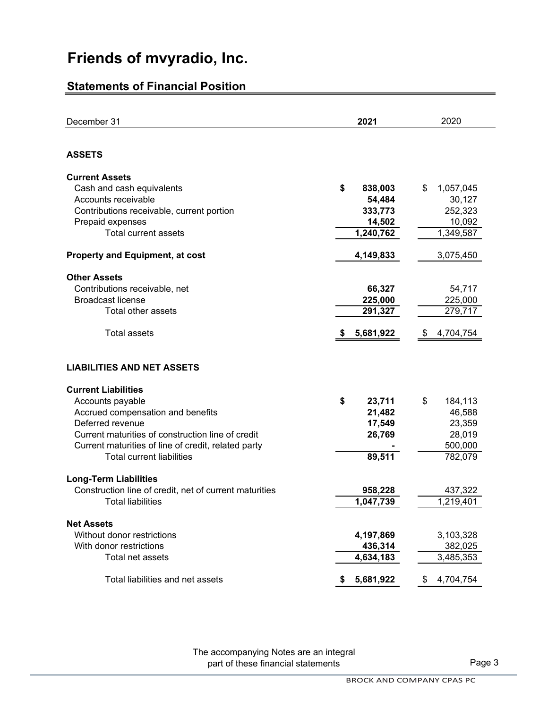## **Statements of Financial Position**

| December 31                                            | 2021          | 2020            |
|--------------------------------------------------------|---------------|-----------------|
|                                                        |               |                 |
| <b>ASSETS</b>                                          |               |                 |
| <b>Current Assets</b>                                  |               |                 |
| Cash and cash equivalents                              | \$<br>838,003 | 1,057,045<br>\$ |
| Accounts receivable                                    | 54,484        | 30,127          |
| Contributions receivable, current portion              | 333,773       | 252,323         |
| Prepaid expenses                                       | 14,502        | 10,092          |
| <b>Total current assets</b>                            | 1,240,762     | 1,349,587       |
|                                                        |               |                 |
| <b>Property and Equipment, at cost</b>                 | 4,149,833     | 3,075,450       |
| <b>Other Assets</b>                                    |               |                 |
| Contributions receivable, net                          | 66,327        | 54,717          |
| <b>Broadcast license</b>                               | 225,000       | 225,000         |
| Total other assets                                     | 291,327       | 279,717         |
|                                                        |               |                 |
| <b>Total assets</b>                                    | 5,681,922     | 4,704,754<br>æ. |
| <b>LIABILITIES AND NET ASSETS</b>                      |               |                 |
|                                                        |               |                 |
| <b>Current Liabilities</b>                             |               |                 |
| Accounts payable                                       | \$<br>23,711  | \$<br>184,113   |
| Accrued compensation and benefits                      | 21,482        | 46,588          |
| Deferred revenue                                       | 17,549        | 23,359          |
| Current maturities of construction line of credit      | 26,769        | 28,019          |
| Current maturities of line of credit, related party    |               | 500,000         |
| <b>Total current liabilities</b>                       | 89,511        | 782,079         |
| <b>Long-Term Liabilities</b>                           |               |                 |
| Construction line of credit, net of current maturities | 958,228       | 437,322         |
| <b>Total liabilities</b>                               | 1,047,739     | 1,219,401       |
| <b>Net Assets</b>                                      |               |                 |
| Without donor restrictions                             | 4,197,869     | 3,103,328       |
| With donor restrictions                                | 436,314       | 382,025         |
| Total net assets                                       | 4,634,183     | 3,485,353       |
| Total liabilities and net assets                       | 5,681,922     | 4,704,754<br>\$ |

The accompanying Notes are an integral part of these financial statements **Page 3**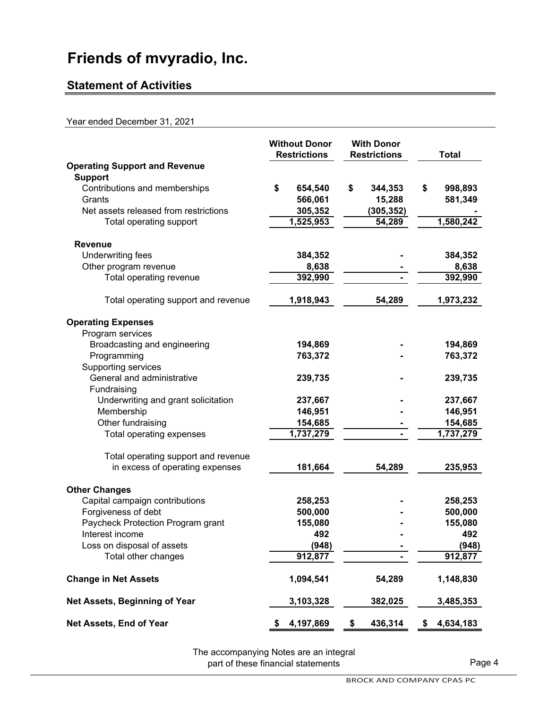## **Statement of Activities**

### Year ended December 31, 2021

|                                            |    | <b>Without Donor</b><br><b>Restrictions</b> |    | <b>With Donor</b><br><b>Restrictions</b> | <b>Total</b> |           |  |
|--------------------------------------------|----|---------------------------------------------|----|------------------------------------------|--------------|-----------|--|
| <b>Operating Support and Revenue</b>       |    |                                             |    |                                          |              |           |  |
| <b>Support</b>                             |    |                                             |    |                                          |              |           |  |
| Contributions and memberships              | \$ | 654,540                                     | \$ | 344,353                                  | \$           | 998,893   |  |
| Grants                                     |    | 566,061                                     |    | 15,288                                   |              | 581,349   |  |
| Net assets released from restrictions      |    | 305,352                                     |    | (305, 352)                               |              |           |  |
| Total operating support                    |    | 1,525,953                                   |    | 54,289                                   |              | 1,580,242 |  |
|                                            |    |                                             |    |                                          |              |           |  |
| <b>Revenue</b><br><b>Underwriting fees</b> |    | 384,352                                     |    |                                          |              |           |  |
|                                            |    |                                             |    |                                          |              | 384,352   |  |
| Other program revenue                      |    | 8,638                                       |    |                                          |              | 8,638     |  |
| Total operating revenue                    |    | 392,990                                     |    |                                          |              | 392,990   |  |
| Total operating support and revenue        |    | 1,918,943                                   |    | 54,289                                   |              | 1,973,232 |  |
| <b>Operating Expenses</b>                  |    |                                             |    |                                          |              |           |  |
| Program services                           |    |                                             |    |                                          |              |           |  |
| Broadcasting and engineering               |    | 194,869                                     |    |                                          |              | 194,869   |  |
| Programming                                |    | 763,372                                     |    |                                          |              | 763,372   |  |
| Supporting services                        |    |                                             |    |                                          |              |           |  |
| General and administrative                 |    | 239,735                                     |    |                                          |              | 239,735   |  |
| Fundraising                                |    |                                             |    |                                          |              |           |  |
| Underwriting and grant solicitation        |    | 237,667                                     |    |                                          |              | 237,667   |  |
| Membership                                 |    | 146,951                                     |    |                                          |              | 146,951   |  |
| Other fundraising                          |    | 154,685                                     |    |                                          |              | 154,685   |  |
| Total operating expenses                   |    | 1,737,279                                   |    |                                          |              | 1,737,279 |  |
| Total operating support and revenue        |    |                                             |    |                                          |              |           |  |
| in excess of operating expenses            |    | 181,664                                     |    | 54,289                                   |              | 235,953   |  |
|                                            |    |                                             |    |                                          |              |           |  |
| <b>Other Changes</b>                       |    |                                             |    |                                          |              |           |  |
| Capital campaign contributions             |    | 258,253                                     |    |                                          |              | 258,253   |  |
| Forgiveness of debt                        |    | 500,000                                     |    |                                          |              | 500,000   |  |
| Paycheck Protection Program grant          |    | 155,080                                     |    |                                          |              | 155,080   |  |
| Interest income                            |    | 492                                         |    |                                          |              | 492       |  |
| Loss on disposal of assets                 |    | (948)                                       |    |                                          |              | (948)     |  |
| Total other changes                        |    | 912,877                                     |    |                                          |              | 912,877   |  |
| <b>Change in Net Assets</b>                |    | 1,094,541                                   |    | 54,289                                   |              | 1,148,830 |  |
| Net Assets, Beginning of Year              |    | 3,103,328                                   |    | 382,025                                  |              | 3,485,353 |  |
| Net Assets, End of Year                    | \$ | 4,197,869                                   | \$ | 436,314                                  | \$           | 4,634,183 |  |

The accompanying Notes are an integral part of these financial statements **Page 4**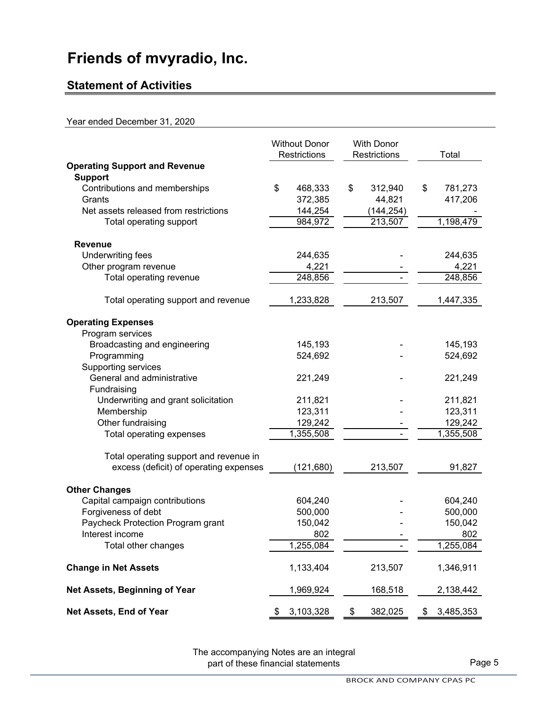## **Statement of Activities**

Year ended December 31, 2020

|                                        | <b>Without Donor</b><br>With Donor<br>Restrictions<br>Restrictions |            | Total         |                        |
|----------------------------------------|--------------------------------------------------------------------|------------|---------------|------------------------|
| <b>Operating Support and Revenue</b>   |                                                                    |            |               |                        |
| <b>Support</b>                         |                                                                    |            |               |                        |
| Contributions and memberships          | \$                                                                 | 468,333    | \$<br>312,940 | \$<br>781,273          |
| Grants                                 |                                                                    | 372,385    | 44,821        | 417,206                |
| Net assets released from restrictions  |                                                                    | 144,254    | (144, 254)    |                        |
| Total operating support                |                                                                    | 984,972    | 213,507       | 1,198,479              |
| <b>Revenue</b>                         |                                                                    |            |               |                        |
| <b>Underwriting fees</b>               |                                                                    | 244,635    |               | 244,635                |
| Other program revenue                  |                                                                    | 4,221      |               | 4,221                  |
| Total operating revenue                |                                                                    | 248,856    |               | 248,856                |
|                                        |                                                                    |            |               |                        |
| Total operating support and revenue    |                                                                    | 1,233,828  | 213,507       | 1,447,335              |
| <b>Operating Expenses</b>              |                                                                    |            |               |                        |
| Program services                       |                                                                    |            |               |                        |
| Broadcasting and engineering           |                                                                    | 145,193    |               | 145,193                |
| Programming                            |                                                                    | 524,692    |               | 524,692                |
| <b>Supporting services</b>             |                                                                    |            |               |                        |
| General and administrative             |                                                                    | 221,249    |               | 221,249                |
| Fundraising                            |                                                                    |            |               |                        |
| Underwriting and grant solicitation    |                                                                    | 211,821    |               | 211,821                |
| Membership                             |                                                                    | 123,311    |               | 123,311                |
| Other fundraising                      |                                                                    | 129,242    |               | 129,242                |
| Total operating expenses               |                                                                    | 1,355,508  |               | $\overline{1,}355,508$ |
| Total operating support and revenue in |                                                                    |            |               |                        |
| excess (deficit) of operating expenses |                                                                    | (121, 680) | 213,507       | 91,827                 |
| <b>Other Changes</b>                   |                                                                    |            |               |                        |
| Capital campaign contributions         |                                                                    | 604,240    |               | 604,240                |
| Forgiveness of debt                    |                                                                    | 500,000    |               | 500,000                |
| Paycheck Protection Program grant      |                                                                    | 150,042    |               | 150,042                |
| Interest income                        |                                                                    | 802        |               | 802                    |
| Total other changes                    |                                                                    | 1,255,084  |               | 1,255,084              |
| <b>Change in Net Assets</b>            |                                                                    | 1,133,404  | 213,507       | 1,346,911              |
| Net Assets, Beginning of Year          |                                                                    | 1,969,924  | 168,518       | 2,138,442              |
|                                        |                                                                    |            |               |                        |
| Net Assets, End of Year                | \$                                                                 | 3,103,328  | \$<br>382,025 | \$<br>3,485,353        |

The accompanying Notes are an integral part of these financial statements **Page 5**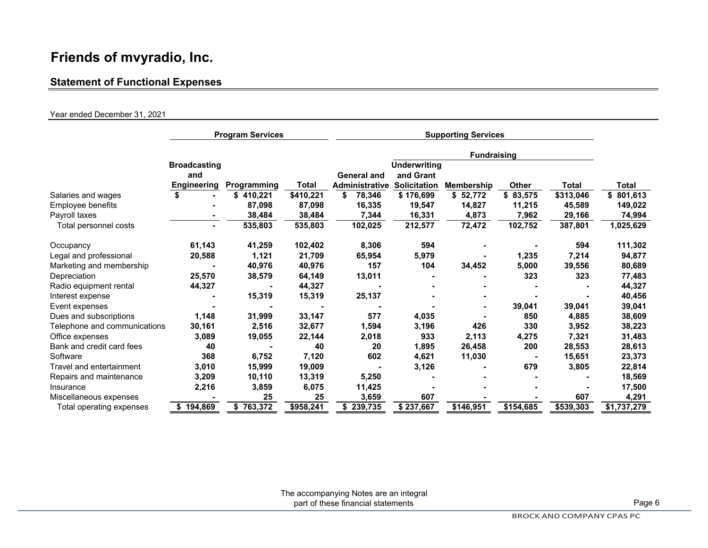## **Statement of Functional Expenses**

### Year ended December 31, 2021

|                              | <b>Program Services</b> |               |           |                       |                     |                    |              |           |               |
|------------------------------|-------------------------|---------------|-----------|-----------------------|---------------------|--------------------|--------------|-----------|---------------|
|                              |                         |               |           |                       |                     | <b>Fundraising</b> |              |           |               |
|                              | <b>Broadcasting</b>     |               |           |                       | <b>Underwriting</b> |                    |              |           |               |
|                              | and                     |               |           | <b>General and</b>    | and Grant           |                    |              |           |               |
|                              | <b>Engineering</b>      | Programming   | Total     | <b>Administrative</b> | Solicitation        | <b>Membership</b>  | <b>Other</b> | Total     | Total         |
| Salaries and wages           | S<br>$\blacksquare$     | 410,221<br>\$ | \$410,221 | 78,346<br>\$          | \$176,699           | \$52,772           | \$83,575     | \$313,046 | 801,613<br>\$ |
| Employee benefits            |                         | 87,098        | 87,098    | 16,335                | 19,547              | 14,827             | 11,215       | 45,589    | 149,022       |
| Payroll taxes                | $\blacksquare$          | 38,484        | 38,484    | 7,344                 | 16,331              | 4,873              | 7,962        | 29,166    | 74,994        |
| Total personnel costs        | $\blacksquare$          | 535,803       | 535,803   | 102,025               | 212,577             | 72,472             | 102,752      | 387,801   | 1,025,629     |
| Occupancy                    | 61,143                  | 41,259        | 102,402   | 8,306                 | 594                 |                    |              | 594       | 111,302       |
| Legal and professional       | 20,588                  | 1,121         | 21,709    | 65,954                | 5,979               |                    | 1,235        | 7,214     | 94,877        |
| Marketing and membership     |                         | 40,976        | 40,976    | 157                   | 104                 | 34,452             | 5,000        | 39,556    | 80,689        |
| Depreciation                 | 25,570                  | 38,579        | 64,149    | 13,011                |                     |                    | 323          | 323       | 77,483        |
| Radio equipment rental       | 44,327                  |               | 44,327    |                       |                     |                    |              |           | 44,327        |
| Interest expense             |                         | 15,319        | 15,319    | 25,137                |                     |                    |              |           | 40,456        |
| Event expenses               |                         |               |           |                       |                     |                    | 39,041       | 39,041    | 39,041        |
| Dues and subscriptions       | 1,148                   | 31,999        | 33,147    | 577                   | 4,035               |                    | 850          | 4,885     | 38,609        |
| Telephone and communications | 30,161                  | 2,516         | 32,677    | 1,594                 | 3,196               | 426                | 330          | 3,952     | 38,223        |
| Office expenses              | 3,089                   | 19,055        | 22,144    | 2,018                 | 933                 | 2,113              | 4,275        | 7,321     | 31,483        |
| Bank and credit card fees    | 40                      |               | 40        | 20                    | 1,895               | 26,458             | 200          | 28,553    | 28,613        |
| Software                     | 368                     | 6,752         | 7,120     | 602                   | 4,621               | 11,030             |              | 15,651    | 23,373        |
| Travel and entertainment     | 3,010                   | 15,999        | 19,009    |                       | 3,126               |                    | 679          | 3,805     | 22,814        |
| Repairs and maintenance      | 3,209                   | 10,110        | 13,319    | 5,250                 |                     |                    |              |           | 18,569        |
| Insurance                    | 2,216                   | 3,859         | 6,075     | 11,425                |                     |                    |              |           | 17,500        |
| Miscellaneous expenses       |                         | 25            | 25        | 3,659                 | 607                 |                    |              | 607       | 4,291         |
| Total operating expenses     | 194,869<br>\$           | \$763,372     | \$958,241 | \$239,735             | \$237,667           | \$146,951          | \$154,685    | \$539,303 | \$1,737,279   |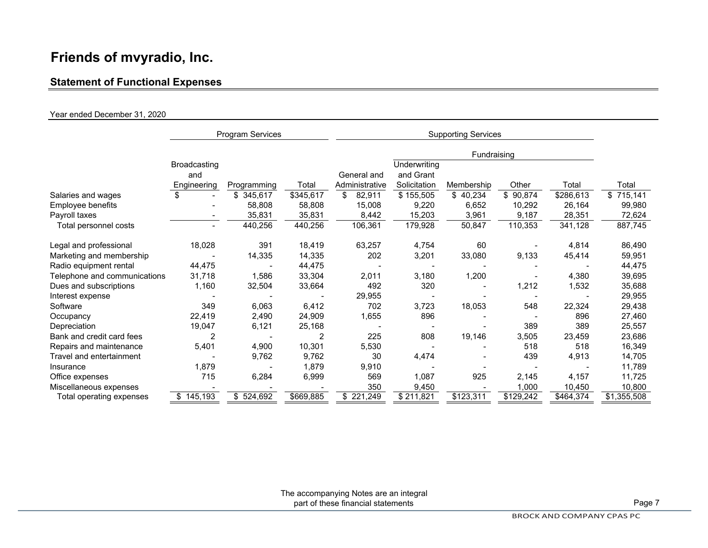## **Statement of Functional Expenses**

### Year ended December 31, 2020

|                              |                          | Program Services |                       |                |                     |            |                   |           |             |  |
|------------------------------|--------------------------|------------------|-----------------------|----------------|---------------------|------------|-------------------|-----------|-------------|--|
|                              |                          |                  |                       |                | Fundraising         |            |                   |           |             |  |
|                              | <b>Broadcasting</b>      |                  |                       |                | <b>Underwriting</b> |            |                   |           |             |  |
|                              | and                      |                  |                       | General and    | and Grant           |            |                   |           |             |  |
|                              | Engineering              | Programming      | Total                 | Administrative | Solicitation        | Membership | Other             | Total     | Total       |  |
| Salaries and wages           | \$                       | \$345,617        | $\overline{$345,617}$ | 82,911<br>\$   | \$155,505           | \$40,234   | $\sqrt{$}$ 90,874 | \$286,613 | \$715,141   |  |
| Employee benefits            |                          | 58,808           | 58,808                | 15,008         | 9,220               | 6,652      | 10,292            | 26,164    | 99,980      |  |
| Payroll taxes                |                          | 35,831           | 35,831                | 8,442          | 15,203              | 3,961      | 9,187             | 28,351    | 72,624      |  |
| Total personnel costs        | $\overline{\phantom{a}}$ | 440,256          | 440,256               | 106,361        | 179,928             | 50,847     | 110,353           | 341,128   | 887,745     |  |
| Legal and professional       | 18,028                   | 391              | 18,419                | 63,257         | 4,754               | 60         |                   | 4,814     | 86,490      |  |
| Marketing and membership     |                          | 14,335           | 14,335                | 202            | 3,201               | 33,080     | 9,133             | 45,414    | 59,951      |  |
| Radio equipment rental       | 44,475                   |                  | 44,475                |                |                     |            | $\blacksquare$    |           | 44,475      |  |
| Telephone and communications | 31,718                   | 1,586            | 33,304                | 2,011          | 3,180               | 1,200      |                   | 4,380     | 39,695      |  |
| Dues and subscriptions       | 1,160                    | 32,504           | 33,664                | 492            | 320                 |            | 1,212             | 1,532     | 35,688      |  |
| Interest expense             |                          |                  |                       | 29,955         |                     |            |                   |           | 29,955      |  |
| Software                     | 349                      | 6,063            | 6,412                 | 702            | 3,723               | 18,053     | 548               | 22,324    | 29,438      |  |
| Occupancy                    | 22,419                   | 2,490            | 24,909                | 1,655          | 896                 |            |                   | 896       | 27,460      |  |
| Depreciation                 | 19,047                   | 6,121            | 25,168                |                |                     |            | 389               | 389       | 25,557      |  |
| Bank and credit card fees    | 2                        |                  |                       | 225            | 808                 | 19,146     | 3,505             | 23,459    | 23,686      |  |
| Repairs and maintenance      | 5,401                    | 4,900            | 10,301                | 5,530          |                     |            | 518               | 518       | 16,349      |  |
| Travel and entertainment     |                          | 9,762            | 9,762                 | 30             | 4,474               |            | 439               | 4,913     | 14,705      |  |
| Insurance                    | 1,879                    |                  | 1,879                 | 9,910          |                     |            |                   |           | 11,789      |  |
| Office expenses              | 715                      | 6,284            | 6,999                 | 569            | 1,087               | 925        | 2,145             | 4,157     | 11,725      |  |
| Miscellaneous expenses       |                          |                  |                       | 350            | 9,450               |            | 1,000             | 10,450    | 10,800      |  |
| Total operating expenses     | \$145,193                | \$524,692        | \$669,885             | \$221,249      | \$211,821           | \$123,311  | \$129,242         | \$464,374 | \$1,355,508 |  |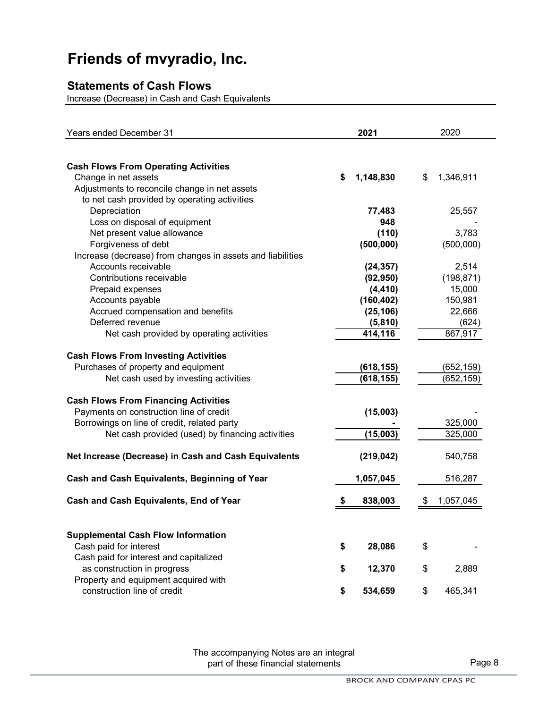## **Statements of Cash Flows**

Increase (Decrease) in Cash and Cash Equivalents

| Years ended December 31                                    | 2021            |    | 2020       |
|------------------------------------------------------------|-----------------|----|------------|
|                                                            |                 |    |            |
| <b>Cash Flows From Operating Activities</b>                |                 |    |            |
| Change in net assets                                       | \$<br>1,148,830 | \$ | 1,346,911  |
| Adjustments to reconcile change in net assets              |                 |    |            |
| to net cash provided by operating activities               |                 |    |            |
| Depreciation                                               | 77,483          |    | 25,557     |
| Loss on disposal of equipment                              | 948             |    |            |
| Net present value allowance                                | (110)           |    | 3,783      |
| Forgiveness of debt                                        | (500,000)       |    | (500,000)  |
| Increase (decrease) from changes in assets and liabilities |                 |    |            |
| Accounts receivable                                        | (24, 357)       |    | 2,514      |
| Contributions receivable                                   | (92, 950)       |    | (198, 871) |
| Prepaid expenses                                           | (4, 410)        |    | 15,000     |
| Accounts payable                                           | (160, 402)      |    | 150,981    |
| Accrued compensation and benefits                          | (25, 106)       |    | 22,666     |
| Deferred revenue                                           | (5, 810)        |    | (624)      |
| Net cash provided by operating activities                  | 414,116         |    | 867,917    |
| <b>Cash Flows From Investing Activities</b>                |                 |    |            |
| Purchases of property and equipment                        | (618, 155)      |    | (652,159)  |
| Net cash used by investing activities                      | (618, 155)      |    | (652,159)  |
|                                                            |                 |    |            |
| <b>Cash Flows From Financing Activities</b>                |                 |    |            |
| Payments on construction line of credit                    | (15,003)        |    |            |
| Borrowings on line of credit, related party                |                 |    | 325,000    |
| Net cash provided (used) by financing activities           | (15,003)        |    | 325,000    |
|                                                            |                 |    |            |
| Net Increase (Decrease) in Cash and Cash Equivalents       | (219, 042)      |    | 540,758    |
| Cash and Cash Equivalents, Beginning of Year               | 1,057,045       |    | 516,287    |
| Cash and Cash Equivalents, End of Year                     | 838,003<br>\$   | P. | 1,057,045  |
|                                                            |                 |    |            |
| <b>Supplemental Cash Flow Information</b>                  |                 |    |            |
| Cash paid for interest                                     | \$<br>28,086    | \$ |            |
| Cash paid for interest and capitalized                     |                 |    |            |
| as construction in progress                                | \$<br>12,370    | \$ | 2,889      |
| Property and equipment acquired with                       |                 |    |            |
| construction line of credit                                | \$<br>534,659   | \$ | 465,341    |

The accompanying Notes are an integral part of these financial statements **Page 8**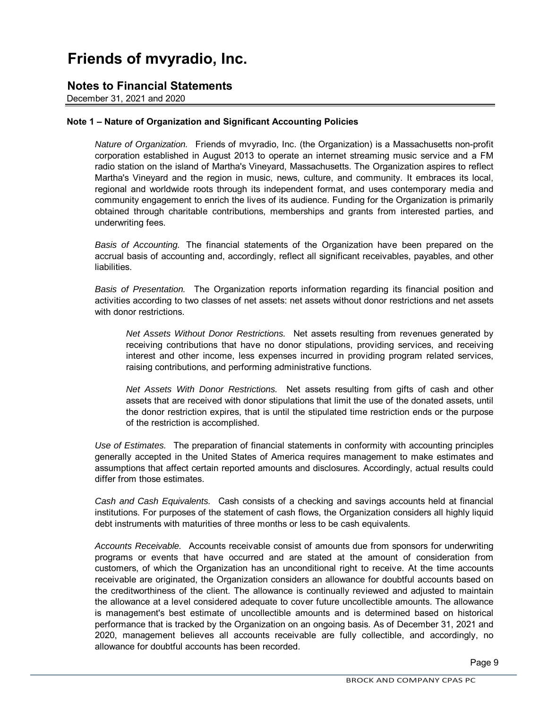## **Notes to Financial Statements**

December 31, 2021 and 2020

## **Note 1 – Nature of Organization and Significant Accounting Policies**

*Nature of Organization.* Friends of mvyradio, Inc. (the Organization) is a Massachusetts non-profit corporation established in August 2013 to operate an internet streaming music service and a FM radio station on the island of Martha's Vineyard, Massachusetts. The Organization aspires to reflect Martha's Vineyard and the region in music, news, culture, and community. It embraces its local, regional and worldwide roots through its independent format, and uses contemporary media and community engagement to enrich the lives of its audience. Funding for the Organization is primarily obtained through charitable contributions, memberships and grants from interested parties, and underwriting fees.

*Basis of Accounting.* The financial statements of the Organization have been prepared on the accrual basis of accounting and, accordingly, reflect all significant receivables, payables, and other liabilities.

*Basis of Presentation.* The Organization reports information regarding its financial position and activities according to two classes of net assets: net assets without donor restrictions and net assets with donor restrictions.

*Net Assets Without Donor Restrictions.* Net assets resulting from revenues generated by receiving contributions that have no donor stipulations, providing services, and receiving interest and other income, less expenses incurred in providing program related services, raising contributions, and performing administrative functions.

*Net Assets With Donor Restrictions.* Net assets resulting from gifts of cash and other assets that are received with donor stipulations that limit the use of the donated assets, until the donor restriction expires, that is until the stipulated time restriction ends or the purpose of the restriction is accomplished.

*Use of Estimates.* The preparation of financial statements in conformity with accounting principles generally accepted in the United States of America requires management to make estimates and assumptions that affect certain reported amounts and disclosures. Accordingly, actual results could differ from those estimates.

*Cash and Cash Equivalents.* Cash consists of a checking and savings accounts held at financial institutions. For purposes of the statement of cash flows, the Organization considers all highly liquid debt instruments with maturities of three months or less to be cash equivalents.

*Accounts Receivable.* Accounts receivable consist of amounts due from sponsors for underwriting programs or events that have occurred and are stated at the amount of consideration from customers, of which the Organization has an unconditional right to receive. At the time accounts receivable are originated, the Organization considers an allowance for doubtful accounts based on the creditworthiness of the client. The allowance is continually reviewed and adjusted to maintain the allowance at a level considered adequate to cover future uncollectible amounts. The allowance is management's best estimate of uncollectible amounts and is determined based on historical performance that is tracked by the Organization on an ongoing basis. As of December 31, 2021 and 2020, management believes all accounts receivable are fully collectible, and accordingly, no allowance for doubtful accounts has been recorded.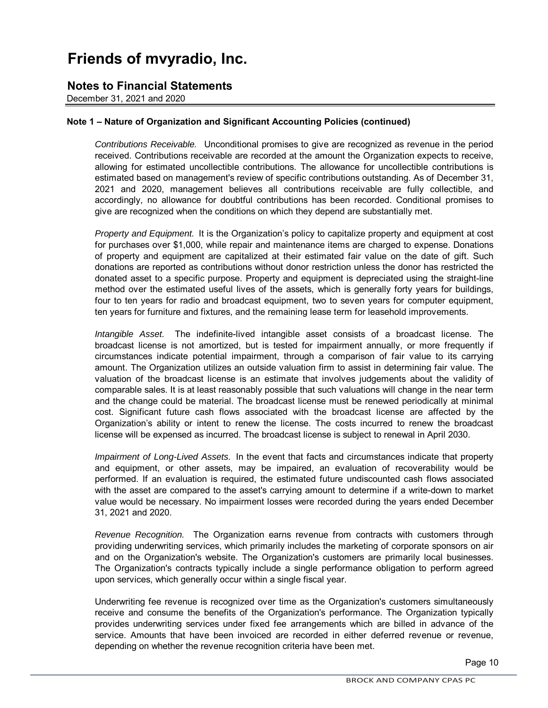## **Notes to Financial Statements**

December 31, 2021 and 2020

## **Note 1 – Nature of Organization and Significant Accounting Policies (continued)**

*Contributions Receivable.* Unconditional promises to give are recognized as revenue in the period received. Contributions receivable are recorded at the amount the Organization expects to receive, allowing for estimated uncollectible contributions. The allowance for uncollectible contributions is estimated based on management's review of specific contributions outstanding. As of December 31, 2021 and 2020, management believes all contributions receivable are fully collectible, and accordingly, no allowance for doubtful contributions has been recorded. Conditional promises to give are recognized when the conditions on which they depend are substantially met.

*Property and Equipment.* It is the Organization's policy to capitalize property and equipment at cost for purchases over \$1,000, while repair and maintenance items are charged to expense. Donations of property and equipment are capitalized at their estimated fair value on the date of gift. Such donations are reported as contributions without donor restriction unless the donor has restricted the donated asset to a specific purpose. Property and equipment is depreciated using the straight-line method over the estimated useful lives of the assets, which is generally forty years for buildings, four to ten years for radio and broadcast equipment, two to seven years for computer equipment, ten years for furniture and fixtures, and the remaining lease term for leasehold improvements.

*Intangible Asset.* The indefinite-lived intangible asset consists of a broadcast license. The broadcast license is not amortized, but is tested for impairment annually, or more frequently if circumstances indicate potential impairment, through a comparison of fair value to its carrying amount. The Organization utilizes an outside valuation firm to assist in determining fair value. The valuation of the broadcast license is an estimate that involves judgements about the validity of comparable sales. It is at least reasonably possible that such valuations will change in the near term and the change could be material. The broadcast license must be renewed periodically at minimal cost. Significant future cash flows associated with the broadcast license are affected by the Organization's ability or intent to renew the license. The costs incurred to renew the broadcast license will be expensed as incurred. The broadcast license is subject to renewal in April 2030.

*Impairment of Long-Lived Assets.* In the event that facts and circumstances indicate that property and equipment, or other assets, may be impaired, an evaluation of recoverability would be performed. If an evaluation is required, the estimated future undiscounted cash flows associated with the asset are compared to the asset's carrying amount to determine if a write-down to market value would be necessary. No impairment losses were recorded during the years ended December 31, 2021 and 2020.

*Revenue Recognition.* The Organization earns revenue from contracts with customers through providing underwriting services, which primarily includes the marketing of corporate sponsors on air and on the Organization's website. The Organization's customers are primarily local businesses. The Organization's contracts typically include a single performance obligation to perform agreed upon services, which generally occur within a single fiscal year.

Underwriting fee revenue is recognized over time as the Organization's customers simultaneously receive and consume the benefits of the Organization's performance. The Organization typically provides underwriting services under fixed fee arrangements which are billed in advance of the service. Amounts that have been invoiced are recorded in either deferred revenue or revenue, depending on whether the revenue recognition criteria have been met.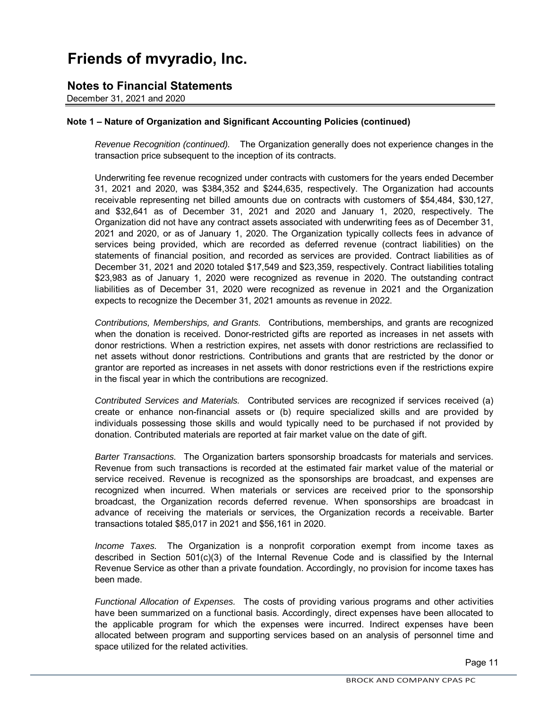## **Notes to Financial Statements**

December 31, 2021 and 2020

## **Note 1 – Nature of Organization and Significant Accounting Policies (continued)**

*Revenue Recognition (continued).* The Organization generally does not experience changes in the transaction price subsequent to the inception of its contracts.

Underwriting fee revenue recognized under contracts with customers for the years ended December 31, 2021 and 2020, was \$384,352 and \$244,635, respectively. The Organization had accounts receivable representing net billed amounts due on contracts with customers of \$54,484, \$30,127, and \$32,641 as of December 31, 2021 and 2020 and January 1, 2020, respectively. The Organization did not have any contract assets associated with underwriting fees as of December 31, 2021 and 2020, or as of January 1, 2020. The Organization typically collects fees in advance of services being provided, which are recorded as deferred revenue (contract liabilities) on the statements of financial position, and recorded as services are provided. Contract liabilities as of December 31, 2021 and 2020 totaled \$17,549 and \$23,359, respectively. Contract liabilities totaling \$23,983 as of January 1, 2020 were recognized as revenue in 2020. The outstanding contract liabilities as of December 31, 2020 were recognized as revenue in 2021 and the Organization expects to recognize the December 31, 2021 amounts as revenue in 2022.

*Contributions, Memberships, and Grants.* Contributions, memberships, and grants are recognized when the donation is received. Donor-restricted gifts are reported as increases in net assets with donor restrictions. When a restriction expires, net assets with donor restrictions are reclassified to net assets without donor restrictions. Contributions and grants that are restricted by the donor or grantor are reported as increases in net assets with donor restrictions even if the restrictions expire in the fiscal year in which the contributions are recognized.

*Contributed Services and Materials.* Contributed services are recognized if services received (a) create or enhance non-financial assets or (b) require specialized skills and are provided by individuals possessing those skills and would typically need to be purchased if not provided by donation. Contributed materials are reported at fair market value on the date of gift.

*Barter Transactions.* The Organization barters sponsorship broadcasts for materials and services. Revenue from such transactions is recorded at the estimated fair market value of the material or service received. Revenue is recognized as the sponsorships are broadcast, and expenses are recognized when incurred. When materials or services are received prior to the sponsorship broadcast, the Organization records deferred revenue. When sponsorships are broadcast in advance of receiving the materials or services, the Organization records a receivable. Barter transactions totaled \$85,017 in 2021 and \$56,161 in 2020.

*Income Taxes.* The Organization is a nonprofit corporation exempt from income taxes as described in Section 501(c)(3) of the Internal Revenue Code and is classified by the Internal Revenue Service as other than a private foundation. Accordingly, no provision for income taxes has been made.

*Functional Allocation of Expenses.* The costs of providing various programs and other activities have been summarized on a functional basis. Accordingly, direct expenses have been allocated to the applicable program for which the expenses were incurred. Indirect expenses have been allocated between program and supporting services based on an analysis of personnel time and space utilized for the related activities.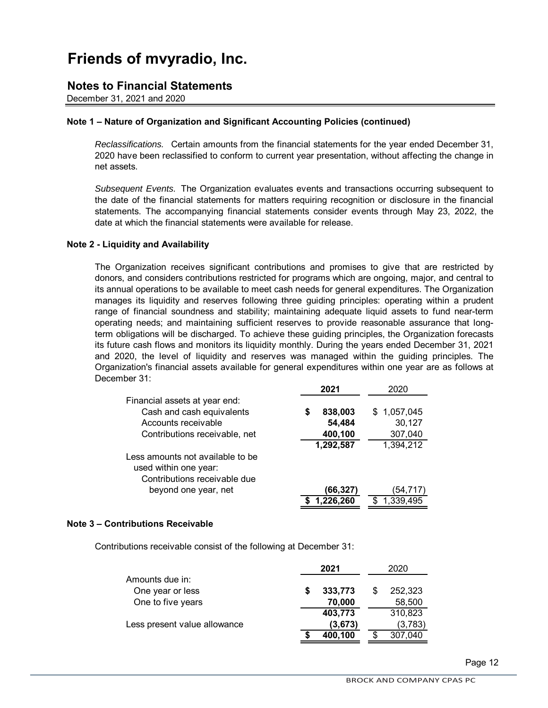## **Notes to Financial Statements**

December 31, 2021 and 2020

### **Note 1 – Nature of Organization and Significant Accounting Policies (continued)**

*Reclassifications.* Certain amounts from the financial statements for the year ended December 31, 2020 have been reclassified to conform to current year presentation, without affecting the change in net assets.

*Subsequent Events.* The Organization evaluates events and transactions occurring subsequent to the date of the financial statements for matters requiring recognition or disclosure in the financial statements. The accompanying financial statements consider events through May 23, 2022, the date at which the financial statements were available for release.

#### **Note 2 - Liquidity and Availability**

The Organization receives significant contributions and promises to give that are restricted by donors, and considers contributions restricted for programs which are ongoing, major, and central to its annual operations to be available to meet cash needs for general expenditures. The Organization manages its liquidity and reserves following three guiding principles: operating within a prudent range of financial soundness and stability; maintaining adequate liquid assets to fund near-term operating needs; and maintaining sufficient reserves to provide reasonable assurance that longterm obligations will be discharged. To achieve these guiding principles, the Organization forecasts its future cash flows and monitors its liquidity monthly. During the years ended December 31, 2021 and 2020, the level of liquidity and reserves was managed within the guiding principles. The Organization's financial assets available for general expenditures within one year are as follows at December 31:

|                                                                                                                    | 2021                               | 2020                             |
|--------------------------------------------------------------------------------------------------------------------|------------------------------------|----------------------------------|
| Financial assets at year end:<br>Cash and cash equivalents<br>Accounts receivable<br>Contributions receivable, net | 838,003<br>\$<br>54,484<br>400,100 | \$1,057,045<br>30,127<br>307,040 |
|                                                                                                                    | 1,292,587                          | 1,394,212                        |
| Less amounts not available to be<br>used within one year:<br>Contributions receivable due                          |                                    |                                  |
| beyond one year, net                                                                                               | (66,327)                           | (54, 717)                        |
|                                                                                                                    | 1.226.260                          | 1,339,495                        |

#### **Note 3 – Contributions Receivable**

Contributions receivable consist of the following at December 31:

|                                     | 2021 |         |  | 2020    |  |  |
|-------------------------------------|------|---------|--|---------|--|--|
| Amounts due in:<br>One year or less | S    | 333,773 |  | 252,323 |  |  |
| One to five years                   |      | 70,000  |  | 58,500  |  |  |
|                                     |      | 403,773 |  | 310,823 |  |  |
| Less present value allowance        |      | (3,673) |  | (3,783) |  |  |
|                                     |      | 400,100 |  | 307,040 |  |  |

Page 12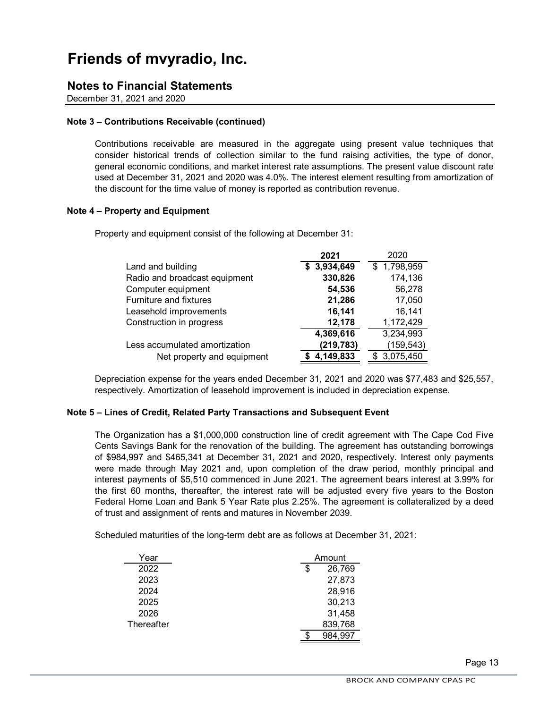## **Notes to Financial Statements**

December 31, 2021 and 2020

### **Note 3 – Contributions Receivable (continued)**

Contributions receivable are measured in the aggregate using present value techniques that consider historical trends of collection similar to the fund raising activities, the type of donor, general economic conditions, and market interest rate assumptions. The present value discount rate used at December 31, 2021 and 2020 was 4.0%. The interest element resulting from amortization of the discount for the time value of money is reported as contribution revenue.

### **Note 4 – Property and Equipment**

Property and equipment consist of the following at December 31:

|                               | 2021        | 2020        |
|-------------------------------|-------------|-------------|
| Land and building             | \$3,934,649 | \$1,798,959 |
| Radio and broadcast equipment | 330,826     | 174,136     |
| Computer equipment            | 54,536      | 56,278      |
| <b>Furniture and fixtures</b> | 21,286      | 17,050      |
| Leasehold improvements        | 16,141      | 16,141      |
| Construction in progress      | 12,178      | 1,172,429   |
|                               | 4,369,616   | 3,234,993   |
| Less accumulated amortization | (219, 783)  | (159, 543)  |
| Net property and equipment    | 4,149,833   | 3,075,450   |

Depreciation expense for the years ended December 31, 2021 and 2020 was \$77,483 and \$25,557, respectively. Amortization of leasehold improvement is included in depreciation expense.

### **Note 5 – Lines of Credit, Related Party Transactions and Subsequent Event**

The Organization has a \$1,000,000 construction line of credit agreement with The Cape Cod Five Cents Savings Bank for the renovation of the building. The agreement has outstanding borrowings of \$984,997 and \$465,341 at December 31, 2021 and 2020, respectively. Interest only payments were made through May 2021 and, upon completion of the draw period, monthly principal and interest payments of \$5,510 commenced in June 2021. The agreement bears interest at 3.99% for the first 60 months, thereafter, the interest rate will be adjusted every five years to the Boston Federal Home Loan and Bank 5 Year Rate plus 2.25%. The agreement is collateralized by a deed of trust and assignment of rents and matures in November 2039.

Scheduled maturities of the long-term debt are as follows at December 31, 2021:

| Year       | Amount       |
|------------|--------------|
| 2022       | 26,769<br>\$ |
| 2023       | 27,873       |
| 2024       | 28,916       |
| 2025       | 30,213       |
| 2026       | 31,458       |
| Thereafter | 839,768      |
|            | 984.997      |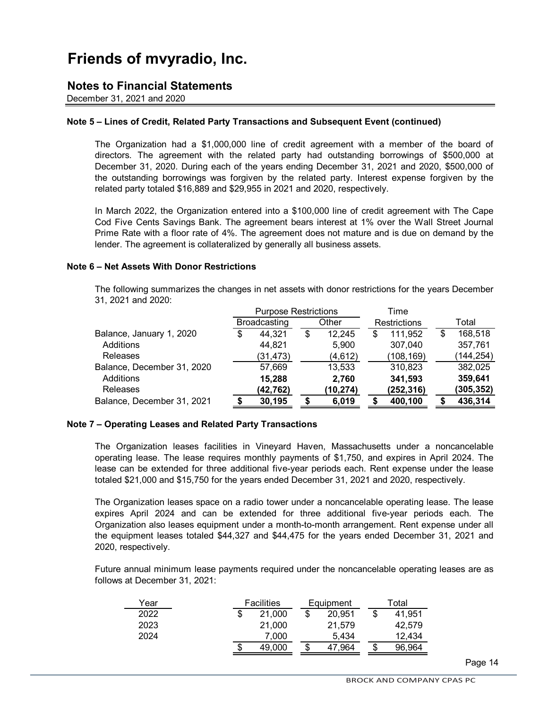## **Notes to Financial Statements**

December 31, 2021 and 2020

### **Note 5 – Lines of Credit, Related Party Transactions and Subsequent Event (continued)**

The Organization had a \$1,000,000 line of credit agreement with a member of the board of directors. The agreement with the related party had outstanding borrowings of \$500,000 at December 31, 2020. During each of the years ending December 31, 2021 and 2020, \$500,000 of the outstanding borrowings was forgiven by the related party. Interest expense forgiven by the related party totaled \$16,889 and \$29,955 in 2021 and 2020, respectively.

In March 2022, the Organization entered into a \$100,000 line of credit agreement with The Cape Cod Five Cents Savings Bank. The agreement bears interest at 1% over the Wall Street Journal Prime Rate with a floor rate of 4%. The agreement does not mature and is due on demand by the lender. The agreement is collateralized by generally all business assets.

#### **Note 6 – Net Assets With Donor Restrictions**

The following summarizes the changes in net assets with donor restrictions for the years December 31, 2021 and 2020:

|                            | <b>Purpose Restrictions</b> |                     |    |           | Time         |            |            |
|----------------------------|-----------------------------|---------------------|----|-----------|--------------|------------|------------|
|                            |                             | <b>Broadcasting</b> |    | Other     | Restrictions |            | Total      |
| Balance, January 1, 2020   |                             | 44,321              | \$ | 12,245    | \$           | 111,952    | 168,518    |
| Additions                  |                             | 44,821              |    | 5,900     |              | 307,040    | 357,761    |
| Releases                   |                             | (31, 473)           |    | (4,612)   |              | (108, 169) | (144, 254) |
| Balance, December 31, 2020 |                             | 57,669              |    | 13,533    |              | 310,823    | 382,025    |
| Additions                  |                             | 15,288              |    | 2,760     |              | 341,593    | 359,641    |
| Releases                   |                             | (42, 762)           |    | (10, 274) |              | (252, 316) | (305, 352) |
| Balance, December 31, 2021 |                             | 30,195              |    | 6,019     |              | 400,100    | 436,314    |

#### **Note 7 – Operating Leases and Related Party Transactions**

The Organization leases facilities in Vineyard Haven, Massachusetts under a noncancelable operating lease. The lease requires monthly payments of \$1,750, and expires in April 2024. The lease can be extended for three additional five-year periods each. Rent expense under the lease totaled \$21,000 and \$15,750 for the years ended December 31, 2021 and 2020, respectively.

The Organization leases space on a radio tower under a noncancelable operating lease. The lease expires April 2024 and can be extended for three additional five-year periods each. The Organization also leases equipment under a month-to-month arrangement. Rent expense under all the equipment leases totaled \$44,327 and \$44,475 for the years ended December 31, 2021 and 2020, respectively.

Future annual minimum lease payments required under the noncancelable operating leases are as follows at December 31, 2021:

| Year |    | <b>Facilities</b> | Equipment    |   | Total  |  |
|------|----|-------------------|--------------|---|--------|--|
| 2022 | S  | 21,000            | 20.951       | S | 41,951 |  |
| 2023 |    | 21.000            | 21.579       |   | 42.579 |  |
| 2024 |    | 7.000             | 5.434        |   | 12,434 |  |
|      | \$ | 49,000            | \$<br>47.964 |   | 96.964 |  |

Page 14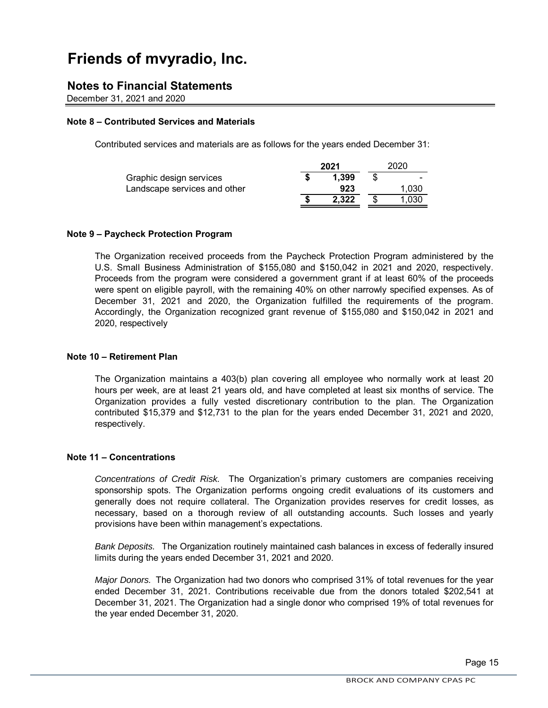## **Notes to Financial Statements**

December 31, 2021 and 2020

### **Note 8 – Contributed Services and Materials**

Contributed services and materials are as follows for the years ended December 31:

|                              | 2021  | 2020  |
|------------------------------|-------|-------|
| Graphic design services      | 1.399 |       |
| Landscape services and other | 923   | 1.030 |
|                              | 2.322 | .030  |

### **Note 9 – Paycheck Protection Program**

The Organization received proceeds from the Paycheck Protection Program administered by the U.S. Small Business Administration of \$155,080 and \$150,042 in 2021 and 2020, respectively. Proceeds from the program were considered a government grant if at least 60% of the proceeds were spent on eligible payroll, with the remaining 40% on other narrowly specified expenses. As of December 31, 2021 and 2020, the Organization fulfilled the requirements of the program. Accordingly, the Organization recognized grant revenue of \$155,080 and \$150,042 in 2021 and 2020, respectively

### **Note 10 – Retirement Plan**

The Organization maintains a 403(b) plan covering all employee who normally work at least 20 hours per week, are at least 21 years old, and have completed at least six months of service. The Organization provides a fully vested discretionary contribution to the plan. The Organization contributed \$15,379 and \$12,731 to the plan for the years ended December 31, 2021 and 2020, respectively.

### **Note 11 – Concentrations**

*Concentrations of Credit Risk.* The Organization's primary customers are companies receiving sponsorship spots. The Organization performs ongoing credit evaluations of its customers and generally does not require collateral. The Organization provides reserves for credit losses, as necessary, based on a thorough review of all outstanding accounts. Such losses and yearly provisions have been within management's expectations.

*Bank Deposits.* The Organization routinely maintained cash balances in excess of federally insured limits during the years ended December 31, 2021 and 2020.

*Major Donors.* The Organization had two donors who comprised 31% of total revenues for the year ended December 31, 2021. Contributions receivable due from the donors totaled \$202,541 at December 31, 2021. The Organization had a single donor who comprised 19% of total revenues for the year ended December 31, 2020.